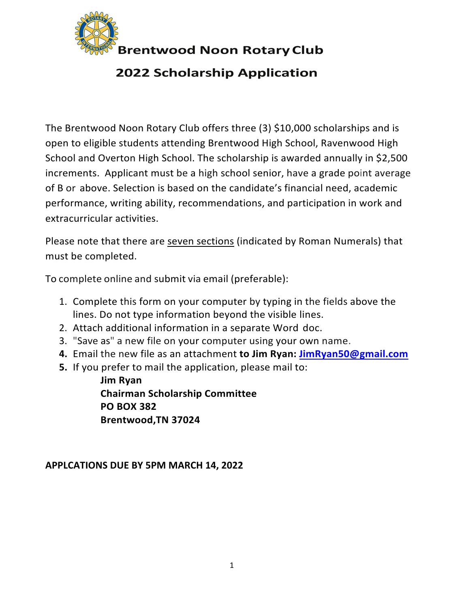

 **Brentwood Noon RotaryClub**

# **2022 Scholarship Application**

The Brentwood Noon Rotary Club offers three (3) \$10,000 scholarships and is open to eligible students attending Brentwood High School, Ravenwood High School and Overton High School. The scholarship is awarded annually in \$2,500 increments. Applicant must be a high school senior, have a grade point average of B or above. Selection is based on the candidate's financial need, academic performance, writing ability, recommendations, and participation in work and extracurricular activities.

Please note that there are seven sections (indicated by Roman Numerals) that must be completed.

To complete online and submit via email (preferable):

- 1. Complete this form on your computer by typing in the fields above the lines. Do not type information beyond the visible lines.
- 2. Attach additional information in a separate Word doc.
- 3. "Save as" a new file on your computer using your own name.
- **4.** Email the new file as an attachment **to Jim Ryan: JimRyan50@gmail.com**
- **5.** If you prefer to mail the application, please mail to:

**Jim Ryan Chairman Scholarship Committee PO BOX 382 Brentwood,TN 37024**

**APPLCATIONS DUE BY 5PM MARCH 14, 2022**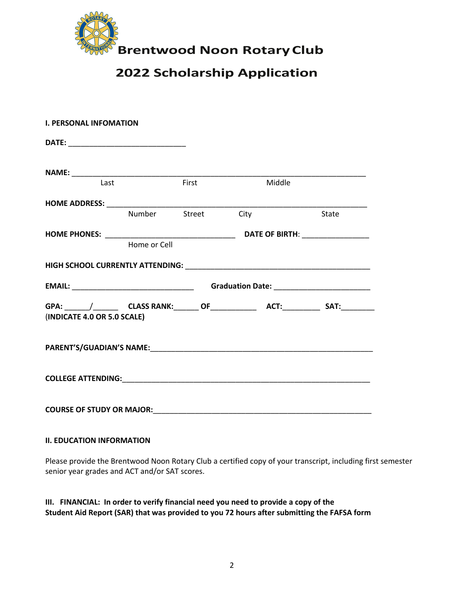

### **2022 Scholarship Application**

| <b>I. PERSONAL INFOMATION</b> |              |                    |                                                                                                                                                                                                                                |              |
|-------------------------------|--------------|--------------------|--------------------------------------------------------------------------------------------------------------------------------------------------------------------------------------------------------------------------------|--------------|
|                               |              |                    |                                                                                                                                                                                                                                |              |
|                               |              |                    |                                                                                                                                                                                                                                |              |
| Last                          |              | First              | Middle                                                                                                                                                                                                                         |              |
|                               |              |                    |                                                                                                                                                                                                                                |              |
|                               |              | Number Street City |                                                                                                                                                                                                                                | <b>State</b> |
|                               |              |                    |                                                                                                                                                                                                                                |              |
|                               | Home or Cell |                    |                                                                                                                                                                                                                                |              |
|                               |              |                    |                                                                                                                                                                                                                                |              |
|                               |              |                    |                                                                                                                                                                                                                                |              |
| (INDICATE 4.0 OR 5.0 SCALE)   |              |                    |                                                                                                                                                                                                                                |              |
|                               |              |                    | PARENT'S/GUADIAN'S NAME: Manual Communication of the Communication of the Communication of the Communication of the Communication of the Communication of the Communication of the Communication of the Communication of the C |              |
|                               |              |                    |                                                                                                                                                                                                                                |              |
|                               |              |                    |                                                                                                                                                                                                                                |              |

### **II. EDUCATION INFORMATION**

Please provide the Brentwood Noon Rotary Club a certified copy of your transcript, including first semester senior year grades and ACT and/or SAT scores.

### **III. FINANCIAL: In order to verify financial need you need to provide a copy of the Student Aid Report (SAR) that was provided to you 72 hours after submitting the FAFSA form**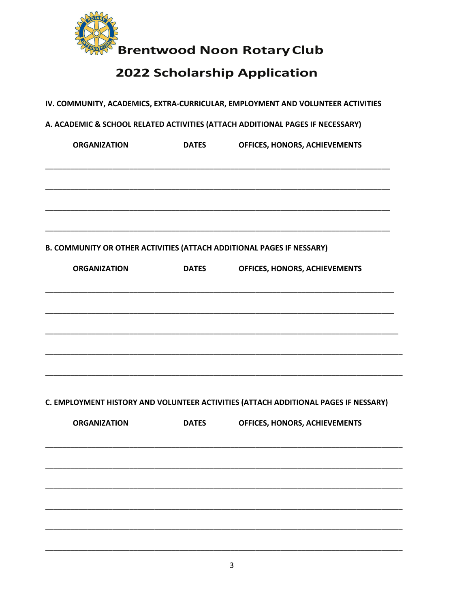

# 2022 Scholarship Application

|                     |              | A. ACADEMIC & SCHOOL RELATED ACTIVITIES (ATTACH ADDITIONAL PAGES IF NECESSARY)      |
|---------------------|--------------|-------------------------------------------------------------------------------------|
| <b>ORGANIZATION</b> | <b>DATES</b> | OFFICES, HONORS, ACHIEVEMENTS                                                       |
|                     |              |                                                                                     |
|                     |              | B. COMMUNITY OR OTHER ACTIVITIES (ATTACH ADDITIONAL PAGES IF NESSARY)               |
| <b>ORGANIZATION</b> | <b>DATES</b> | OFFICES, HONORS, ACHIEVEMENTS                                                       |
|                     |              |                                                                                     |
|                     |              |                                                                                     |
|                     |              |                                                                                     |
|                     |              | C. EMPLOYMENT HISTORY AND VOLUNTEER ACTIVITIES (ATTACH ADDITIONAL PAGES IF NESSARY) |
| <b>ORGANIZATION</b> | <b>DATES</b> | OFFICES, HONORS, ACHIEVEMENTS                                                       |
|                     |              |                                                                                     |
|                     |              |                                                                                     |
|                     |              |                                                                                     |
|                     |              |                                                                                     |
|                     |              |                                                                                     |